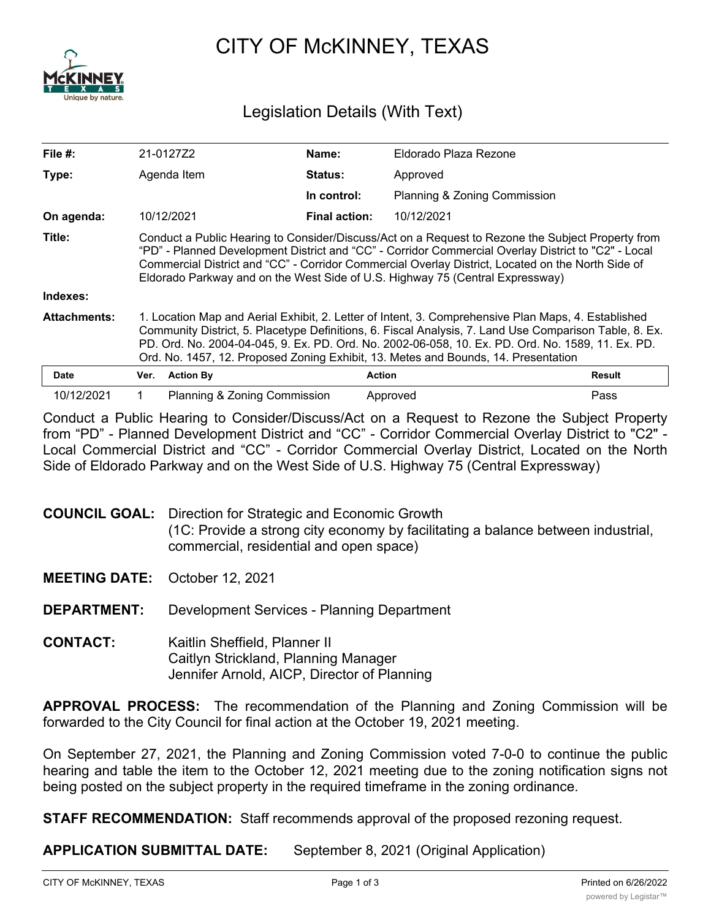

## CITY OF McKINNEY, TEXAS

## Legislation Details (With Text)

| File #:             |                                                                                                                                                                                                                                                                                                                                                                                                          | 21-0127Z2                    | Name:                | Eldorado Plaza Rezone        |        |
|---------------------|----------------------------------------------------------------------------------------------------------------------------------------------------------------------------------------------------------------------------------------------------------------------------------------------------------------------------------------------------------------------------------------------------------|------------------------------|----------------------|------------------------------|--------|
| Type:               |                                                                                                                                                                                                                                                                                                                                                                                                          | Agenda Item                  | Status:              | Approved                     |        |
|                     |                                                                                                                                                                                                                                                                                                                                                                                                          |                              | In control:          | Planning & Zoning Commission |        |
| On agenda:          |                                                                                                                                                                                                                                                                                                                                                                                                          | 10/12/2021                   | <b>Final action:</b> | 10/12/2021                   |        |
| Title:              | Conduct a Public Hearing to Consider/Discuss/Act on a Request to Rezone the Subject Property from<br>"PD" - Planned Development District and "CC" - Corridor Commercial Overlay District to "C2" - Local<br>Commercial District and "CC" - Corridor Commercial Overlay District, Located on the North Side of<br>Eldorado Parkway and on the West Side of U.S. Highway 75 (Central Expressway)           |                              |                      |                              |        |
| Indexes:            |                                                                                                                                                                                                                                                                                                                                                                                                          |                              |                      |                              |        |
| <b>Attachments:</b> | 1. Location Map and Aerial Exhibit, 2. Letter of Intent, 3. Comprehensive Plan Maps, 4. Established<br>Community District, 5. Placetype Definitions, 6. Fiscal Analysis, 7. Land Use Comparison Table, 8. Ex.<br>PD. Ord. No. 2004-04-045, 9. Ex. PD. Ord. No. 2002-06-058, 10. Ex. PD. Ord. No. 1589, 11. Ex. PD.<br>Ord. No. 1457, 12. Proposed Zoning Exhibit, 13. Metes and Bounds, 14. Presentation |                              |                      |                              |        |
| <b>Date</b>         | Ver.                                                                                                                                                                                                                                                                                                                                                                                                     | <b>Action By</b>             |                      | <b>Action</b>                | Result |
| 10/12/2021          |                                                                                                                                                                                                                                                                                                                                                                                                          | Planning & Zoning Commission |                      | Approved                     | Pass   |

Conduct a Public Hearing to Consider/Discuss/Act on a Request to Rezone the Subject Property from "PD" - Planned Development District and "CC" - Corridor Commercial Overlay District to "C2" - Local Commercial District and "CC" - Corridor Commercial Overlay District, Located on the North Side of Eldorado Parkway and on the West Side of U.S. Highway 75 (Central Expressway)

## **COUNCIL GOAL:** Direction for Strategic and Economic Growth (1C: Provide a strong city economy by facilitating a balance between industrial, commercial, residential and open space)

**MEETING DATE:** October 12, 2021

**DEPARTMENT:** Development Services - Planning Department

**CONTACT:** Kaitlin Sheffield, Planner II Caitlyn Strickland, Planning Manager Jennifer Arnold, AICP, Director of Planning

**APPROVAL PROCESS:** The recommendation of the Planning and Zoning Commission will be forwarded to the City Council for final action at the October 19, 2021 meeting.

On September 27, 2021, the Planning and Zoning Commission voted 7-0-0 to continue the public hearing and table the item to the October 12, 2021 meeting due to the zoning notification signs not being posted on the subject property in the required timeframe in the zoning ordinance.

**STAFF RECOMMENDATION:** Staff recommends approval of the proposed rezoning request.

**APPLICATION SUBMITTAL DATE:** September 8, 2021 (Original Application)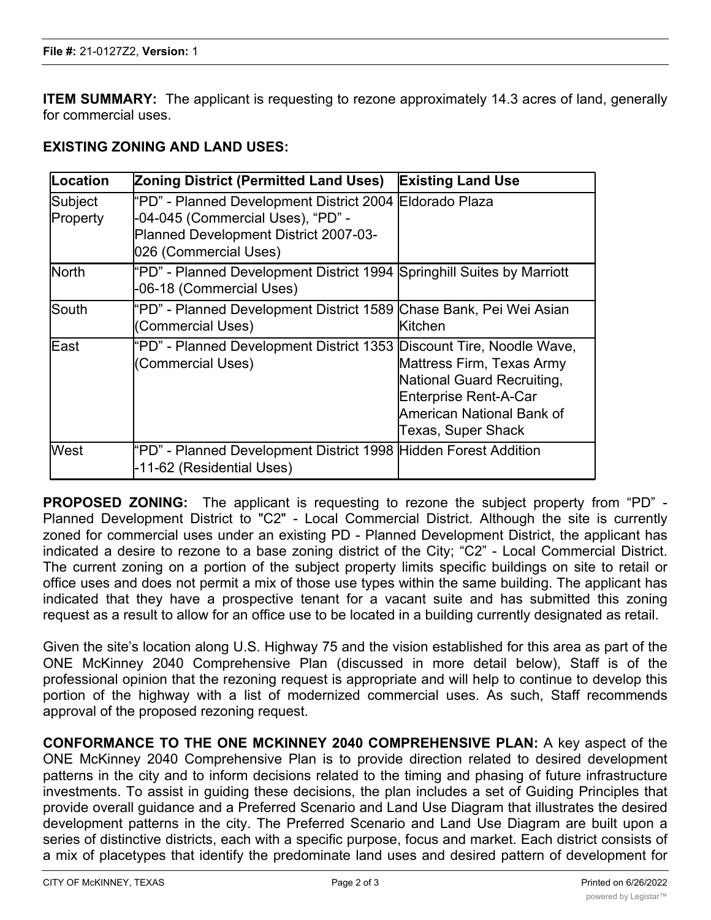**ITEM SUMMARY:** The applicant is requesting to rezone approximately 14.3 acres of land, generally for commercial uses.

## **EXISTING ZONING AND LAND USES:**

| Location            | <b>Zoning District (Permitted Land Uses)</b>                                                                                                                   | <b>Existing Land Use</b>                                                                                                            |
|---------------------|----------------------------------------------------------------------------------------------------------------------------------------------------------------|-------------------------------------------------------------------------------------------------------------------------------------|
| Subject<br>Property | "PD" - Planned Development District 2004 Eldorado Plaza<br>-04-045 (Commercial Uses), "PD" -<br>Planned Development District 2007-03-<br>026 (Commercial Uses) |                                                                                                                                     |
| <b>North</b>        | "PD" - Planned Development District 1994 Springhill Suites by Marriott<br>-06-18 (Commercial Uses)                                                             |                                                                                                                                     |
| lSouth              | "PD" - Planned Development District 1589 Chase Bank, Pei Wei Asian<br>(Commercial Uses)                                                                        | <b>Kitchen</b>                                                                                                                      |
| lEast               | "PD" - Planned Development District 1353 Discount Tire, Noodle Wave,<br>(Commercial Uses)                                                                      | Mattress Firm, Texas Army<br>National Guard Recruiting,<br>Enterprise Rent-A-Car<br>American National Bank of<br>Texas, Super Shack |
| West                | "PD" - Planned Development District 1998 Hidden Forest Addition<br>-11-62 (Residential Uses)                                                                   |                                                                                                                                     |

**PROPOSED ZONING:** The applicant is requesting to rezone the subject property from "PD" - Planned Development District to "C2" - Local Commercial District. Although the site is currently zoned for commercial uses under an existing PD - Planned Development District, the applicant has indicated a desire to rezone to a base zoning district of the City; "C2" - Local Commercial District. The current zoning on a portion of the subject property limits specific buildings on site to retail or office uses and does not permit a mix of those use types within the same building. The applicant has indicated that they have a prospective tenant for a vacant suite and has submitted this zoning request as a result to allow for an office use to be located in a building currently designated as retail.

Given the site's location along U.S. Highway 75 and the vision established for this area as part of the ONE McKinney 2040 Comprehensive Plan (discussed in more detail below), Staff is of the professional opinion that the rezoning request is appropriate and will help to continue to develop this portion of the highway with a list of modernized commercial uses. As such, Staff recommends approval of the proposed rezoning request.

**CONFORMANCE TO THE ONE MCKINNEY 2040 COMPREHENSIVE PLAN:** A key aspect of the ONE McKinney 2040 Comprehensive Plan is to provide direction related to desired development patterns in the city and to inform decisions related to the timing and phasing of future infrastructure investments. To assist in guiding these decisions, the plan includes a set of Guiding Principles that provide overall guidance and a Preferred Scenario and Land Use Diagram that illustrates the desired development patterns in the city. The Preferred Scenario and Land Use Diagram are built upon a series of distinctive districts, each with a specific purpose, focus and market. Each district consists of a mix of placetypes that identify the predominate land uses and desired pattern of development for